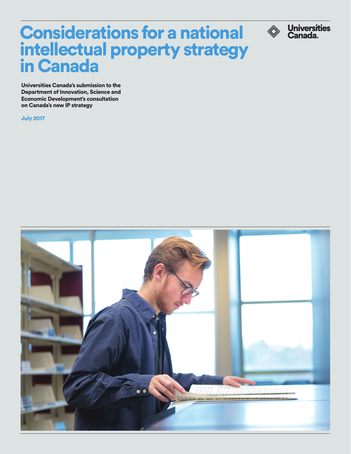# Considerations for a national intellectual property strategy in Canada

Universities Canada's submission to the Department of Innovation, Science and Economic Development's consultation on Canada's new IP strategy

July 2017



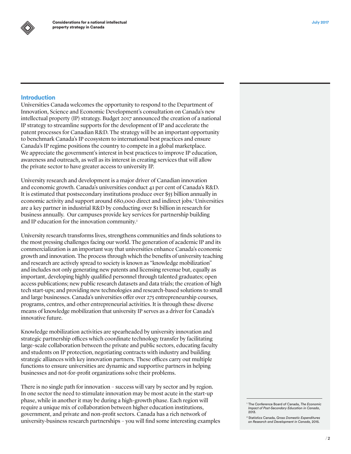

## **Introduction**

Universities Canada welcomes the opportunity to respond to the Department of Innovation, Science and Economic Development's consultation on Canada's new intellectual property (IP) strategy. Budget 2017 announced the creation of a national IP strategy to streamline supports for the development of IP and accelerate the patent processes for Canadian R&D. The strategy will be an important opportunity to benchmark Canada's IP ecosystem to international best practices and ensure Canada's IP regime positions the country to compete in a global marketplace. We appreciate the government's interest in best practices to improve IP education, awareness and outreach, as well as its interest in creating services that will allow the private sector to have greater access to university IP.

University research and development is a major driver of Canadian innovation and economic growth. Canada's universities conduct 41 per cent of Canada's R&D. It is estimated that postsecondary institutions produce over \$55 billion annually in economic activity and support around 680,000 direct and indirect jobs.<sup>1</sup> Universities are a key partner in industrial R&D by conducting over \$1 billion in research for business annually. Our campuses provide key services for partnership building and IP education for the innovation community.<sup>2</sup>

University research transforms lives, strengthens communities and finds solutions to the most pressing challenges facing our world. The generation of academic IP and its commercialization is an important way that universities enhance Canada's economic growth and innovation. The process through which the benefits of university teaching and research are actively spread to society is known as "knowledge mobilization" and includes not only generating new patents and licensing revenue but, equally as important, developing highly qualified personnel through talented graduates; open access publications; new public research datasets and data trials; the creation of high tech start-ups; and providing new technologies and research-based solutions to small and large businesses. Canada's universities offer over 275 entrepreneurship courses, programs, centres, and other entrepreneurial activities. It is through these diverse means of knowledge mobilization that university IP serves as a driver for Canada's innovative future.

Knowledge mobilization activities are spearheaded by university innovation and strategic partnership offices which coordinate technology transfer by facilitating large-scale collaboration between the private and public sectors, educating faculty and students on IP protection, negotiating contracts with industry and building strategic alliances with key innovation partners. These offices carry out multiple functions to ensure universities are dynamic and supportive partners in helping businesses and not-for-profit organizations solve their problems.

There is no single path for innovation – success will vary by sector and by region. In one sector the need to stimulate innovation may be most acute in the start-up phase, while in another it may be during a high-growth phase. Each region will require a unique mix of collaboration between higher education institutions, government, and private and non-profit sectors. Canada has a rich network of university-business research partnerships – you will find some interesting examples

<sup>1</sup> The Conference Board of Canada, *The Economic Impact of Post-Secondary Education in Canada*, 2013.

<sup>2</sup> Statistics Canada, *Gross Domestic Expenditures on Research and Development in Canada,* 2015.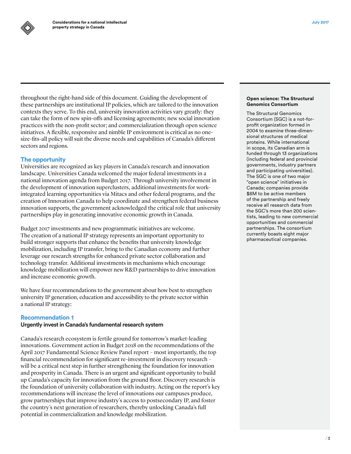throughout the right-hand side of this document. Guiding the development of these partnerships are institutional IP policies, which are tailored to the innovation contexts they serve. To this end, university innovation activities vary greatly: they can take the form of new spin-offs and licensing agreements; new social innovation practices with the non-profit sector; and commercialization through open science initiatives. A flexible, responsive and nimble IP environment is critical as no onesize-fits-all policy will suit the diverse needs and capabilities of Canada's different sectors and regions.

## The opportunity

Universities are recognized as key players in Canada's research and innovation landscape. Universities Canada welcomed the major federal investments in a national innovation agenda from Budget 2017. Through university involvement in the development of innovation superclusters, additional investments for workintegrated learning opportunities via Mitacs and other federal programs, and the creation of Innovation Canada to help coordinate and strengthen federal business innovation supports, the government acknowledged the critical role that university partnerships play in generating innovative economic growth in Canada.

Budget 2017 investments and new programmatic initiatives are welcome. The creation of a national IP strategy represents an important opportunity to build stronger supports that enhance the benefits that university knowledge mobilization, including IP transfer, bring to the Canadian economy and further leverage our research strengths for enhanced private sector collaboration and technology transfer. Additional investments in mechanisms which encourage knowledge mobilization will empower new R&D partnerships to drive innovation and increase economic growth.

We have four recommendations to the government about how best to strengthen university IP generation, education and accessibility to the private sector within a national IP strategy:

## Recommendation 1

## **Urgently invest in Canada's fundamental research system**

Canada's research ecosystem is fertile ground for tomorrow's market-leading innovations. Government action in Budget 2018 on the recommendations of the April 2017 Fundamental Science Review Panel report – most importantly, the top financial recommendation for significant re-investment in discovery research – will be a critical next step in further strengthening the foundation for innovation and prosperity in Canada. There is an urgent and significant opportunity to build up Canada's capacity for innovation from the ground floor. Discovery research is the foundation of university collaboration with industry. Acting on the report's key recommendations will increase the level of innovations our campuses produce, grow partnerships that improve industry's access to postsecondary IP, and foster the country's next generation of researchers, thereby unlocking Canada's full potential in commercialization and knowledge mobilization.

#### Open science: The Structural Genomics Consortium

The Structural Genomics Consortium (SGC) is a not-forprofit organization formed in 2004 to examine three-dimensional structures of medical proteins. While international in scope, its Canadian arm is funded through 13 organizations (including federal and provincial governments, industry partners and participating universities). The SGC is one of two major "open science" initiatives in Canada; companies provide \$8M to be active members of the partnership and freely receive all research data from the SGC's more than 200 scientists, leading to new commercial opportunities and commercial partnerships. The consortium currently boasts eight major pharmaceutical companies.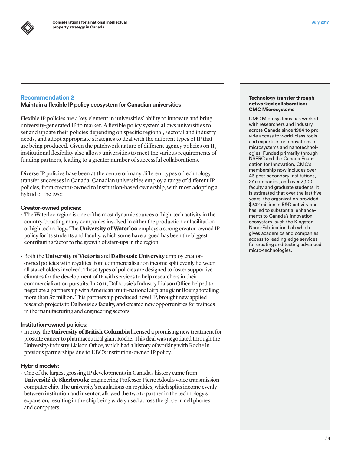# Recommendation 2

## **Maintain a flexible IP policy ecosystem for Canadian universities**

Flexible IP policies are a key element in universities' ability to innovate and bring university-generated IP to market. A flexible policy system allows universities to set and update their policies depending on specific regional, sectoral and industry needs, and adopt appropriate strategies to deal with the different types of IP that are being produced. Given the patchwork nature of different agency policies on IP, institutional flexibility also allows universities to meet the various requirements of funding partners, leading to a greater number of successful collaborations.

Diverse IP policies have been at the centre of many different types of technology transfer successes in Canada. Canadian universities employ a range of different IP policies, from creator-owned to institution-based ownership, with most adopting a hybrid of the two:

## **Creator-owned policies:**

- The Waterloo region is one of the most dynamic sources of high-tech activity in the country, boasting many companies involved in either the production or facilitation of high technology. The **University of Waterloo** employs a strong creator-owned IP policy for its students and faculty, which some have argued has been the biggest contributing factor to the growth of start-ups in the region.
- • Both the **University of Victoria** and **Dalhousie University** employ creatorowned policies with royalties from commercialization income split evenly between all stakeholders involved. These types of policies are designed to foster supportive climates for the development of IP with services to help researchers in their commercialization pursuits. In 2011, Dalhousie's Industry Liaison Office helped to negotiate a partnership with American multi-national airplane giant Boeing totalling more than \$7 million. This partnership produced novel IP, brought new applied research projects to Dalhousie's faculty, and created new opportunities for trainees in the manufacturing and engineering sectors.

## **Institution-owned policies:**

• In 2015, the **University of British Columbia** licensed a promising new treatment for prostate cancer to pharmaceutical giant Roche. This deal was negotiated through the University-Industry Liaison Office, which had a history of working with Roche in previous partnerships due to UBC's institution-owned IP policy.

#### **Hybrid models:**

 $\cdot$  One of the largest grossing IP developments in Canada's history came from **Université de Sherbrooke** engineering Professor Pierre Adoul's voice transmission computer chip. The university's regulations on royalties, which splits income evenly between institution and inventor, allowed the two to partner in the technology's expansion, resulting in the chip being widely used across the globe in cell phones and computers.

#### Technology transfer through networked collaboration: CMC Microsystems

CMC Microsystems has worked with researchers and industry across Canada since 1984 to provide access to world-class tools and expertise for innovations in microsystems and nanotechnologies. Funded primarily through NSERC and the Canada Foundation for Innovation, CMC's membership now includes over 46 post-secondary institutions, 27 companies, and over 3,100 faculty and graduate students. It is estimated that over the last five years, the organization provided \$342 million in R&D activity and has led to substantial enhancements to Canada's innovation ecosystem, such the Kingston Nano-Fabrication Lab which gives academics and companies access to leading-edge services for creating and testing advanced micro-technologies.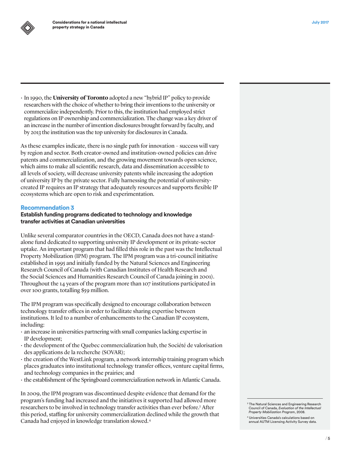• In 1990, the **University of Toronto** adopted a new "hybrid IP" policy to provide researchers with the choice of whether to bring their inventions to the university or commercialize independently. Prior to this, the institution had employed strict regulations on IP ownership and commercialization. The change was a key driver of an increase in the number of invention disclosures brought forward by faculty, and by 2013 the institution was the top university for disclosures in Canada.

As these examples indicate, there is no single path for innovation – success will vary by region and sector. Both creator-owned and institution-owned policies can drive patents and commercialization, and the growing movement towards open science, which aims to make all scientific research, data and dissemination accessible to all levels of society, will decrease university patents while increasing the adoption of university IP by the private sector. Fully harnessing the potential of universitycreated IP requires an IP strategy that adequately resources and supports flexible IP ecosystems which are open to risk and experimentation.

## Recommendation 3

## **Establish funding programs dedicated to technology and knowledge transfer activities at Canadian universities**

Unlike several comparator countries in the OECD, Canada does not have a standalone fund dedicated to supporting university IP development or its private-sector uptake. An important program that had filled this role in the past was the Intellectual Property Mobilization (IPM) program. The IPM program was a tri-council initiative established in 1995 and initially funded by the Natural Sciences and Engineering Research Council of Canada (with Canadian Institutes of Health Research and the Social Sciences and Humanities Research Council of Canada joining in 2001). Throughout the 14 years of the program more than 107 institutions participated in over 100 grants, totalling \$59 million.

The IPM program was specifically designed to encourage collaboration between technology transfer offices in order to facilitate sharing expertise between institutions. It led to a number of enhancements to the Canadian IP ecosystem, including:

- $\cdot$  an increase in universities partnering with small companies lacking expertise in IP development;
- $\cdot$  the development of the Quebec commercialization hub, the Société de valorisation des applications de la recherche (SOVAR);
- $\cdot$  the creation of the WestLink program, a network internship training program which places graduates into institutional technology transfer offices, venture capital firms, and technology companies in the prairies; and
- $\cdot$  the establishment of the Springboard commercialization network in Atlantic Canada.

In 2009, the IPM program was discontinued despite evidence that demand for the program's funding had increased and the initiatives it supported had allowed more researchers to be involved in technology transfer activities than ever before.<sup>3</sup> After this period, staffing for university commercialization declined while the growth that Canada had enjoyed in knowledge translation slowed.4

<sup>&</sup>lt;sup>3</sup> The Natural Sciences and Engineering Research Council of Canada, *Evaluation of the Intellectual Property Mobilization Program*, 2008.

<sup>4</sup> Universities Canada's calculations based on annual AUTM Licensing Activity Survey data.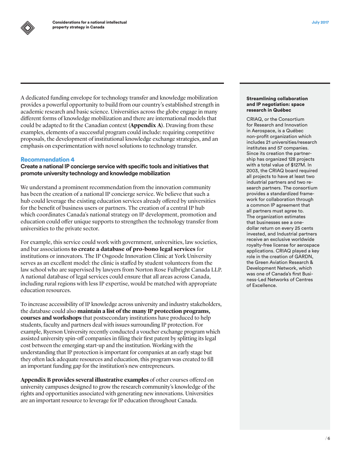A dedicated funding envelope for technology transfer and knowledge mobilization provides a powerful opportunity to build from our country's established strength in academic research and basic science. Universities across the globe engage in many different forms of knowledge mobilization and there are international models that could be adapted to fit the Canadian context **(Appendix A)**. Drawing from these examples, elements of a successful program could include: requiring competitive proposals, the development of institutional knowledge exchange strategies, and an emphasis on experimentation with novel solutions to technology transfer.

## Recommendation 4

**Create a national IP concierge service with specific tools and initiatives that promote university technology and knowledge mobilization**

We understand a prominent recommendation from the innovation community has been the creation of a national IP concierge service. We believe that such a hub could leverage the existing education services already offered by universities for the benefit of business users or partners. The creation of a central IP hub which coordinates Canada's national strategy on IP development, promotion and education could offer unique supports to strengthen the technology transfer from universities to the private sector.

For example, this service could work with government, universities, law societies, and bar associations **to create a database of pro-bono legal services** for institutions or innovators. The IP Osgoode Innovation Clinic at York University serves as an excellent model: the clinic is staffed by student volunteers from the law school who are supervised by lawyers from Norton Rose Fulbright Canada LLP. A national database of legal services could ensure that all areas across Canada, including rural regions with less IP expertise, would be matched with appropriate education resources.

To increase accessibility of IP knowledge across university and industry stakeholders, the database could also **maintain a list of the many IP protection programs, courses and workshops** that postsecondary institutions have produced to help students, faculty and partners deal with issues surrounding IP protection. For example, Ryerson University recently conducted a voucher exchange program which assisted university spin-off companies in filing their first patent by splitting its legal cost between the emerging start-up and the institution. Working with the understanding that IP protection is important for companies at an early stage but they often lack adequate resources and education, this program was created to fill an important funding gap for the institution's new entrepreneurs.

**Appendix B provides several illustrative examples** of other courses offered on university campuses designed to grow the research community's knowledge of the rights and opportunities associated with generating new innovations. Universities are an important resource to leverage for IP education throughout Canada.

#### Streamlining collaboration and IP negotiation: space research in Québec

CRIAQ, or the Consortium for Research and Innovation in Aerospace, is a Québec non-profit organization which includes 21 universities/research institutes and 57 companies. Since its creation the partnership has organized 128 projects with a total value of \$127M. In 2003, the CRIAQ board required all projects to have at least two industrial partners and two research partners. The consortium provides a standardized framework for collaboration through a common IP agreement that all partners must agree to. The organization estimates that businesses see a onedollar return on every 25 cents invested, and Industrial partners receive an exclusive worldwide royalty-free license for aerospace applications. CRIAQ played a key role in the creation of GARDN, the Green Aviation Research & Development Network, which was one of Canada's first Business-Led Networks of Centres of Excellence.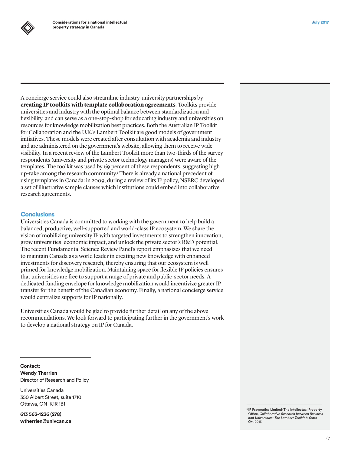

A concierge service could also streamline industry-university partnerships by **creating IP toolkits with template collaboration agreements**. Toolkits provide universities and industry with the optimal balance between standardization and flexibility, and can serve as a one-stop-shop for educating industry and universities on resources for knowledge mobilization best practices. Both the Australian IP Toolkit for Collaboration and the U.K.'s Lambert Toolkit are good models of government initiatives. These models were created after consultation with academia and industry and are administered on the government's website, allowing them to receive wide visibility. In a recent review of the Lambert Toolkit more than two-thirds of the survey respondents (university and private sector technology managers) were aware of the templates. The toolkit was used by 69 percent of these respondents, suggesting high up-take among the research community.<sup>5</sup> There is already a national precedent of using templates in Canada: in 2009, during a review of its IP policy, NSERC developed a set of illustrative sample clauses which institutions could embed into collaborative research agreements.

#### **Conclusions**

Universities Canada is committed to working with the government to help build a balanced, productive, well-supported and world-class IP ecosystem. We share the vision of mobilizing university IP with targeted investments to strengthen innovation, grow universities' economic impact, and unlock the private sector's R&D potential. The recent Fundamental Science Review Panel's report emphasizes that we need to maintain Canada as a world leader in creating new knowledge with enhanced investments for discovery research, thereby ensuring that our ecosystem is well primed for knowledge mobilization. Maintaining space for flexible IP policies ensures that universities are free to support a range of private and public-sector needs. A dedicated funding envelope for knowledge mobilization would incentivize greater IP transfer for the benefit of the Canadian economy. Finally, a national concierge service would centralize supports for IP nationally.

Universities Canada would be glad to provide further detail on any of the above recommendations. We look forward to participating further in the government's work to develop a national strategy on IP for Canada.

**Contact: Wendy Therrien** Director of Research and Policy

Universities Canada 350 Albert Street, suite 1710 Ottawa, ON K1R 1B1

**613 563-1236 (278) [wtherrien@univcan.ca](mailto:wtherrien@univcan.ca)** <sup>5</sup> IP Pragmatics Limited/The Intellectual Property Office, *Collaborative Research between Business and Universities: The Lambert Toolkit 8 Years On,* 2013.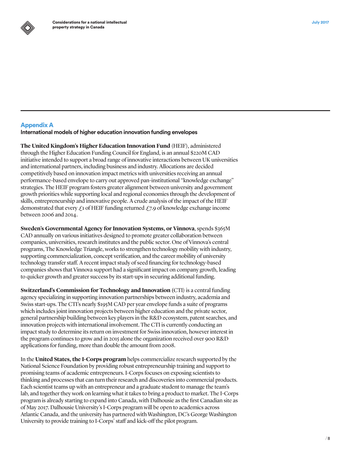

# Appendix A

**International models of higher education innovation funding envelopes**

**The United Kingdom's Higher Education Innovation Fund** (HEIF), administered through the Higher Education Funding Council for England, is an annual \$220M CAD initiative intended to support a broad range of innovative interactions between UK universities and international partners, including business and industry. Allocations are decided competitively based on innovation impact metrics with universities receiving an annual performance-based envelope to carry out approved pan-institutional "knowledge exchange" strategies. The HEIF program fosters greater alignment between university and government growth priorities while supporting local and regional economies through the development of skills, entrepreneurship and innovative people. A crude analysis of the impact of the HEIF demonstrated that every  $\mathcal{L}_1$  of HEIF funding returned  $\mathcal{L}_2$ . 9 of knowledge exchange income between 2006 and 2014.

**Sweden's Governmental Agency for Innovation Systems, or Vinnova**, spends \$365M CAD annually on various initiatives designed to promote greater collaboration between companies, universities, research institutes and the public sector. One of Vinnova's central programs, The Knowledge Triangle, works to strengthen technology mobility with industry, supporting commercialization, concept verification, and the career mobility of university technology transfer staff. A recent impact study of seed financing for technology-based companies shows that Vinnova support had a significant impact on company growth, leading to quicker growth and greater success by its start-ups in securing additional funding.

**Switzerland's Commission for Technology and Innovation (**CTI) is a central funding agency specializing in supporting innovation partnerships between industry, academia and Swiss start-ups. The CTI's nearly \$195M CAD per year envelope funds a suite of programs which includes joint innovation projects between higher education and the private sector, general partnership building between key players in the R&D ecosystem, patent searches, and innovation projects with international involvement. The CTI is currently conducting an impact study to determine its return on investment for Swiss innovation, however interest in the program continues to grow and in 2015 alone the organization received over 900 R&D applications for funding, more than double the amount from 2008.

In the **United States, the I-Corps program** helps commercialize research supported by the National Science Foundation by providing robust entrepreneurship training and support to promising teams of academic entrepreneurs. I-Corps focuses on exposing scientists to thinking and processes that can turn their research and discoveries into commercial products. Each scientist teams up with an entrepreneur and a graduate student to manage the team's lab, and together they work on learning what it takes to bring a product to market. The I-Corps program is already starting to expand into Canada, with Dalhousie as the first Canadian site as of May 2017. Dalhousie University's I-Corps program will be open to academics across Atlantic Canada, and the university has partnered with Washington, DC's George Washington University to provide training to I-Corps' staff and kick-off the pilot program.